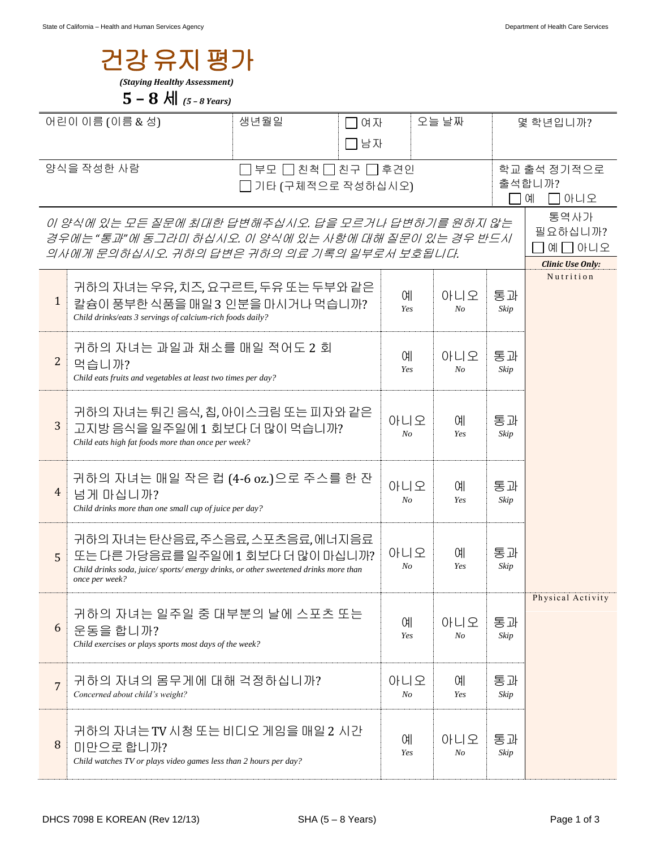| 건강 유지 평가<br>(Staying Healthy Assessment) |                                                                                                      |            |                            |           |                |                         |                         |  |
|------------------------------------------|------------------------------------------------------------------------------------------------------|------------|----------------------------|-----------|----------------|-------------------------|-------------------------|--|
|                                          | 5 – 8 $\text{H}$ (5 – 8 Years)                                                                       |            |                            |           |                |                         |                         |  |
| 어린이 이름 (이름 & 성)                          |                                                                                                      | 생년월일<br>여자 |                            | 오늘 날짜     |                |                         | 몇 학년입니까?                |  |
|                                          |                                                                                                      | 남자         |                            |           |                |                         |                         |  |
| 양식을 작성한 사람<br>부모 [                       |                                                                                                      |            | ㄱ친척 冂친구 冂후견인               |           |                | 학교 출석 정기적으로             |                         |  |
| 기타 (구체적으로 작성하십시오)                        |                                                                                                      |            |                            |           |                | 출석합니까?<br>ㄱ아니오<br>- 1 여 |                         |  |
|                                          | 이 양식에 있는 모든 질문에 최대한 답변해주십시오. 답을 모르거나 답변하기를 원하지 않는                                                    |            |                            |           |                |                         | 통역사가                    |  |
|                                          | 경우에는 "통과"에 동그라미 하십시오. 이 양식에 있는 사항에 대해 질문이 있는 경우 반드시                                                  |            |                            |           |                |                         | 필요하십니까?<br>예囗아니오        |  |
|                                          | 의사에게 문의하십시오. 귀하의 답변은 귀하의 의료 기록의 일부로서 보호됩니다.                                                          |            |                            |           |                |                         | <b>Clinic Use Only:</b> |  |
|                                          | 귀하의 자녀는 우유, 치즈, 요구르트, 두유 또는 두부와 같은                                                                   |            |                            | ΟH        | 아니오            | 통과                      | Nutrition               |  |
| $\mathbf{1}$                             | 칼슘이 풍부한 식품을 매일 3 인분을 마시거나 먹습니까?<br>Child drinks/eats 3 servings of calcium-rich foods daily?         |            |                            | Yes       | $N_{O}$        | Skip                    |                         |  |
|                                          | 귀하의 자녀는 과일과 채소를 매일 적어도 2 회                                                                           |            |                            |           |                |                         |                         |  |
| 2                                        | 먹습니까?                                                                                                |            | 예<br>아니오<br>Yes<br>$N_{O}$ |           |                | 통과<br>Skip              |                         |  |
|                                          | Child eats fruits and vegetables at least two times per day?                                         |            |                            |           |                |                         |                         |  |
|                                          | 귀하의 자녀는 튀긴 음식, 칩, 아이스크림 또는 피자와 같은                                                                    |            |                            |           |                |                         |                         |  |
| 3                                        | 고지방 음식을 일주일에 1 회보다 더 많이 먹습니까?<br>Child eats high fat foods more than once per week?                  |            |                            | 아니오<br>No | 예<br>Yes       | 통과<br>Skip              |                         |  |
|                                          |                                                                                                      |            |                            |           |                |                         |                         |  |
|                                          | 귀하의 자녀는 매일 작은 컵 (4-6 oz.)으로 주스를 한 잔                                                                  |            |                            | 아니오       | 예              | 통과                      |                         |  |
| 4                                        | 넘게 마십니까?<br>Child drinks more than one small cup of juice per day?                                   |            |                            | $N_{O}$   | Yes            | Skip                    |                         |  |
|                                          | 귀하의 자녀는 탄산음료, 주스음료, 스포츠음료, 에너지음료                                                                     |            |                            |           |                |                         |                         |  |
| 5                                        | 또는 다른 가당음료를 일주일에 1 회보다 더 많이 마십니까?                                                                    |            |                            | 아니오       | 예              | 통과                      |                         |  |
|                                          | Child drinks soda, juice/sports/energy drinks, or other sweetened drinks more than<br>once per week? |            |                            | No        | Yes            | Skip                    |                         |  |
|                                          |                                                                                                      |            |                            |           |                |                         | Physical Activity       |  |
| 6                                        | 귀하의 자녀는 일주일 중 대부분의 날에 스포츠 또는<br>운동을 합니까?                                                             |            |                            | 예         | 아니오            | 통과                      |                         |  |
|                                          | Child exercises or plays sports most days of the week?                                               |            |                            | Yes       | $N_{O}$        | Skip                    |                         |  |
|                                          | 귀하의 자녀의 몸무게에 대해 걱정하십니까?                                                                              |            |                            | 아니오       | 예              | 통과                      |                         |  |
| 7                                        | Concerned about child's weight?                                                                      |            |                            | $N_{O}$   | Yes            | Skip                    |                         |  |
|                                          | 귀하의 자녀는 TV 시청 또는 비디오 게임을 매일 2 시간                                                                     |            |                            |           |                |                         |                         |  |
| 8                                        | 미만으로 합니까?                                                                                            |            |                            | 예<br>Yes  | 아니오<br>$N_{O}$ | 통과<br>Skip              |                         |  |
|                                          | Child watches TV or plays video games less than 2 hours per day?                                     |            |                            |           |                |                         |                         |  |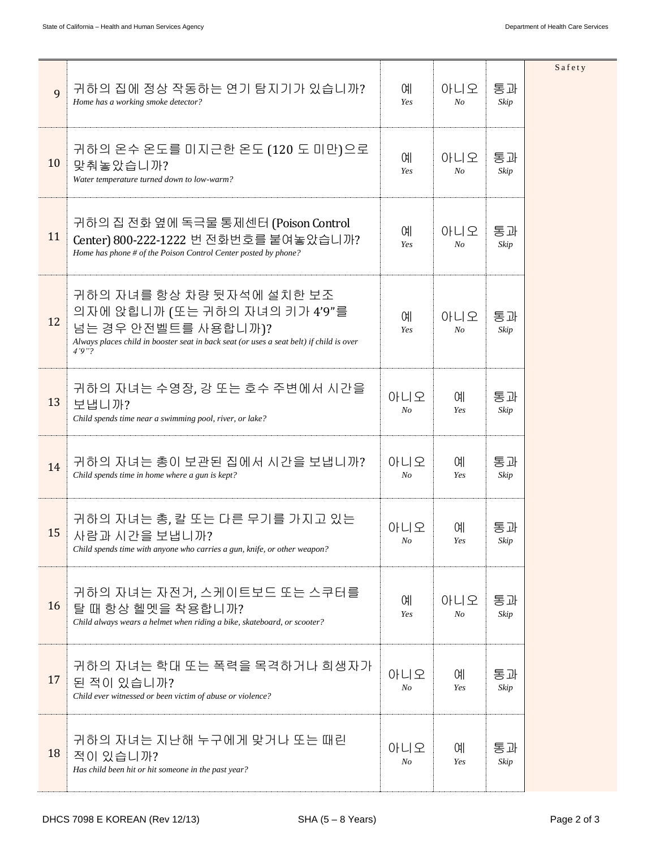| 9  | 귀하의 집에 정상 작동하는 연기 탐지기가 있습니까?<br>Home has a working smoke detector?                                                                                                                     | 예<br>Yes              | 아니오<br>No             | 통과<br>Skip | Safety |
|----|----------------------------------------------------------------------------------------------------------------------------------------------------------------------------------------|-----------------------|-----------------------|------------|--------|
| 10 | 귀하의 온수 온도를 미지근한 온도 (120 도 미만)으로<br>맞춰놓았습니까?<br>Water temperature turned down to low-warm?                                                                                              | 예<br>Yes              | 아니오<br>N <sub>o</sub> | 통과<br>Skip |        |
| 11 | 귀하의 집 전화 옆에 독극물 통제센터 (Poison Control<br>Center) 800-222-1222 번 전화번호를 붙여놓았습니까?<br>Home has phone # of the Poison Control Center posted by phone?                                        | 예<br>Yes              | 아니오<br>N <sub>O</sub> | 통과<br>Skip |        |
| 12 | 귀하의 자녀를 항상 차량 뒷자석에 설치한 보조<br>의자에 앉힙니까 (또는 귀하의 자녀의 키가 4'9"를<br>넘는 경우 안전벨트를 사용합니까)?<br>Always places child in booster seat in back seat (or uses a seat belt) if child is over<br>4'9''? | 예<br>Yes              | 아니오<br>N <sub>o</sub> | 통과<br>Skip |        |
| 13 | 귀하의 자녀는 수영장, 강 또는 호수 주변에서 시간을<br>보냅니까?<br>Child spends time near a swimming pool, river, or lake?                                                                                      | 아니오<br>N <sub>O</sub> | ΟH<br>Yes             | 통과<br>Skip |        |
| 14 | 귀하의 자녀는 총이 보관된 집에서 시간을 보냅니까?<br>Child spends time in home where a gun is kept?                                                                                                         | 아니오<br>No             | 예<br>Yes              | 통과<br>Skip |        |
| 15 | 귀하의 자녀는 총, 칼 또는 다른 무기를 가지고 있는<br>사람과 시간을 보냅니까?<br>Child spends time with anyone who carries a gun, knife, or other weapon?                                                             | 아니오<br>No             | 예<br>Yes              | 통과<br>Skip |        |
| 16 | 귀하의 자녀는 자전거, 스케이트보드 또는 스쿠터를<br>탈 때 항상 헬멧을 착용합니까?<br>Child always wears a helmet when riding a bike, skateboard, or scooter?                                                            | 예<br>Yes              | 아니오<br>No             | 통과<br>Skip |        |
| 17 | 귀하의 자녀는 학대 또는 폭력을 목격하거나 희생자가<br>된 적이 있습니까?<br>Child ever witnessed or been victim of abuse or violence?                                                                                | 아니오<br>No             | 예<br>Yes              | 통과<br>Skip |        |
| 18 | 귀하의 자녀는 지난해 누구에게 맞거나 또는 때린<br>적이 있습니까?<br>Has child been hit or hit someone in the past year?                                                                                          | 아니오<br>N <sub>O</sub> | 예<br>Yes              | 통과<br>Skip |        |